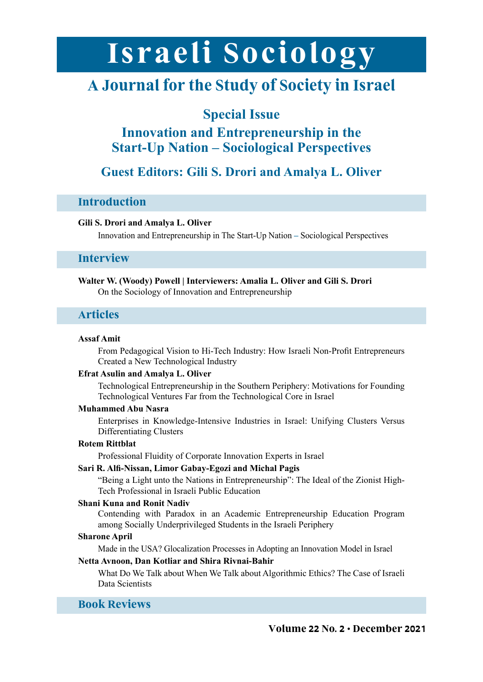# Israeli Sociology

# **A Journal for the Study of Society in Israel**

## **Special Issue**

## **Innovation and Entrepreneurship in the Start-Up Nation – Sociological Perspectives**

## **Guest Editors: Gili S. Drori and Amalya L. Oliver**

#### **Introduction**

#### **Gili S. Drori and Amalya L. Oliver**

Innovation and Entrepreneurship in The Start-Up Nation – Sociological Perspectives

#### **Interview**

#### Walter W. (Woody) Powell | Interviewers: Amalia L. Oliver and Gili S. Drori On the Sociology of Innovation and Entrepreneurship

#### **Articles**

#### **Amit Assaf**

From Pedagogical Vision to Hi-Tech Industry: How Israeli Non-Profit Entrepreneurs Created a New Technological Industry

#### **Efrat Asulin and Amalya L. Oliver**

Technological Entrepreneurship in the Southern Periphery: Motivations for Founding Technological Ventures Far from the Technological Core in Israel

#### **Muhammed Abu Nasra**

Enterprises in Knowledge-Intensive Industries in Israel: Unifying Clusters Versus Differentiating Clusters

#### **Rittblat Rotem**

Professional Fluidity of Corporate Innovation Experts in Israel

#### **Sari R. Alfi-Nissan, Limor Gabay-Egozi and Michal Pagis**

"Being a Light unto the Nations in Entrepreneurship": The Ideal of the Zionist High-<br>Tech Professional in Israeli Public Education

#### **Shani Kuna and Ronit Nadiv**

Contending with Paradox in an Academic Entrepreneurship Education Program among Socially Underprivileged Students in the Israeli Periphery

#### **Sharone** April

Made in the USA? Glocalization Processes in Adopting an Innovation Model in Israel

#### **Netta Avnoon, Dan Kotliar and Shira Rivnai-Bahir**

What Do We Talk about When We Talk about Algorithmic Ethics? The Case of Israeli Data Scientists

### **Reviews Book**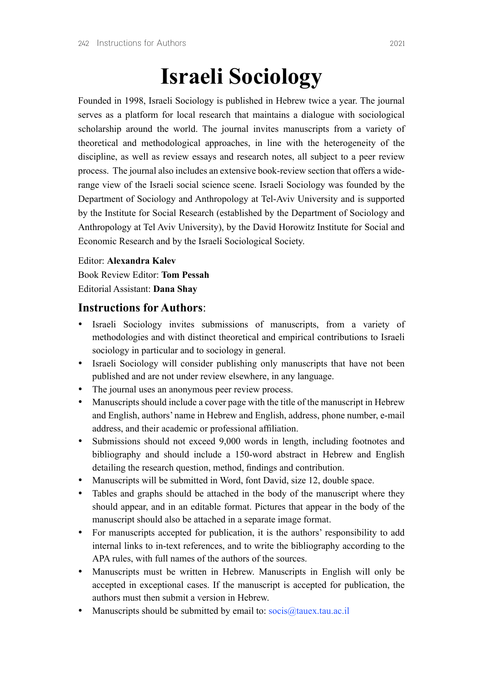# **Israeli Sociology**

Founded in 1998, Israeli Sociology is published in Hebrew twice a year. The journal serves as a platform for local research that maintains a dialogue with sociological scholarship around the world. The journal invites manuscripts from a variety of theoretical and methodological approaches, in line with the heterogeneity of the discipline, as well as review essays and research notes, all subject to a peer review range view of the Israeli social science scene. Israeli Sociology was founded by the process. The journal also includes an extensive book-review section that offers a wide-Department of Sociology and Anthropology at Tel-Aviv-University and is supported by the Institute for Social Research (established by the Department of Sociology and Anthropology at Tel Aviv University), by the David Horowitz Institute for Social and Economic Research and by the Israeli Sociological Society.

#### **Editor: Alexandra Kalev**

**Book Review Editor: Tom Pessah Editorial Assistant: Dana Shay** 

#### **Instructions for Authors**

- Israeli Sociology invites submissions of manuscripts, from a variety of methodologies and with distinct theoretical and empirical contributions to Israeli sociology in particular and to sociology in general.
- Israeli Sociology will consider publishing only manuscripts that have not been published and are not under review elsewhere, in any language.
- The journal uses an anonymous peer review process.
- Manuscripts should include a cover page with the title of the manuscript in Hebrew and English, authors' name in Hebrew and English, address, phone number, e-mail address, and their academic or professional affiliation.
- Submissions should not exceed 9,000 words in length, including footnotes and bibliography and should include a 150-word abstract in Hebrew and English detailing the research question, method, findings and contribution.
- Manuscripts will be submitted in Word, font David, size 12, double space.
- Tables and graphs should be attached in the body of the manuscript where they should appear, and in an editable format. Pictures that appear in the body of the manuscript should also be attached in a separate image format.
- For manuscripts accepted for publication, it is the authors' responsibility to add internal links to in-text references, and to write the bibliography according to the APA rules, with full names of the authors of the sources.
- Manuscripts must be written in Hebrew. Manuscripts in English will only be accepted in exceptional cases. If the manuscript is accepted for publication, the authors must then submit a version in Hebrew
- Manuscripts should be submitted by email to:  $\frac{\text{occis}(\partial_t)$  tauex.tau.ac.il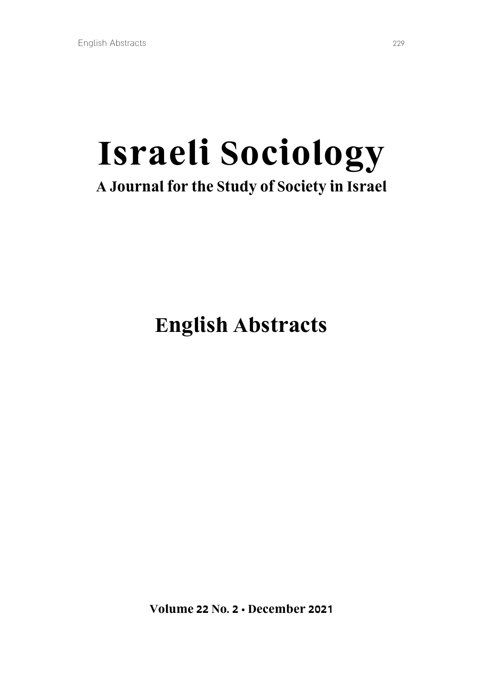# **Israeli Sociology A Journal for the Study of Society in Israel**

# **English Abstracts**

**2021 Volume 22 No. 2 . December 2021**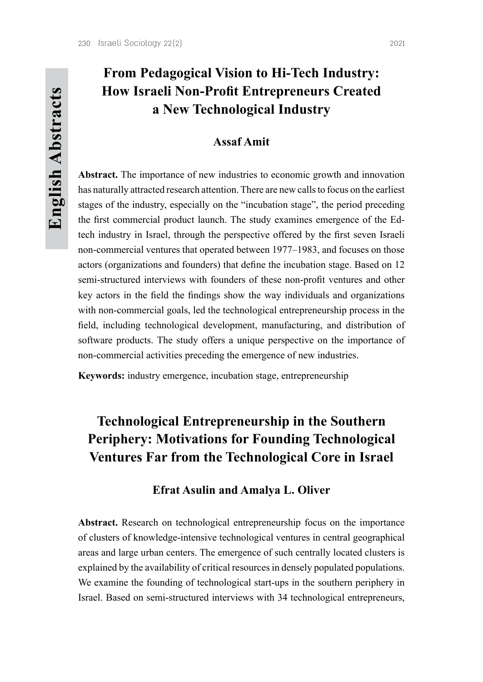## **Amit Assaf**

Abstract. The importance of new industries to economic growth and innovation has naturally attracted research attention. There are new calls to focus on the earliest stages of the industry, especially on the "incubation stage", the period preceding tech industry in Israel, through the perspective offered by the first seven Israeli the first commercial product launch. The study examines emergence of the Ednon-commercial ventures that operated between 1977–1983, and focuses on those actors (organizations and founders) that define the incubation stage. Based on 12 semi-structured interviews with founders of these non-profit ventures and other key actors in the field the findings show the way individuals and organizations with non-commercial goals, led the technological entrepreneurship process in the field, including technological development, manufacturing, and distribution of software products. The study offers a unique perspective on the importance of non-commercial activities preceding the emergence of new industries.

**Keywords:** industry emergence, incubation stage, entrepreneurship

# **Technological Entrepreneurship in the Southern Periphery: Motivations for Founding Technological Ventures Far from the Technological Core in Israel**

### **Efrat Asulin and Amalya L. Oliver**

Abstract. Research on technological entrepreneurship focus on the importance of clusters of knowledge-intensive technological ventures in central geographical areas and large urban centers. The emergence of such centrally located clusters is explained by the availability of critical resources in densely populated populations. We examine the founding of technological start-ups in the southern periphery in Israel. Based on semi-structured interviews with 34 technological entrepreneurs,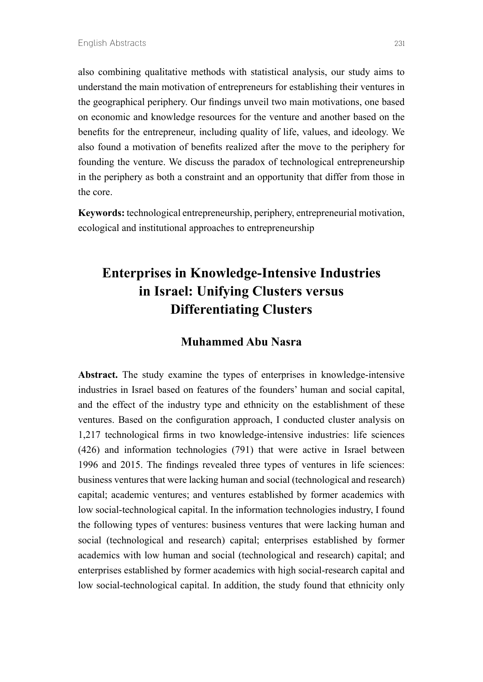also combining qualitative methods with statistical analysis, our study aims to understand the main motivation of entrepreneurs for establishing their ventures in the geographical periphery. Our findings unveil two main motivations, one based on economic and knowledge resources for the venture and another based on the benefits for the entrepreneur, including quality of life, values, and ideology. We also found a motivation of benefits realized after the move to the periphery for founding the venture. We discuss the paradox of technological entrepreneurship in the periphery as both a constraint and an opportunity that differ from those in the core.

Keywords: technological entrepreneurship, periphery, entrepreneurial motivation, ecological and institutional approaches to entrepreneurship

# **Enterprises in Knowledge-Intensive Industries** in Israel: Unifying Clusters versus **Differentiating Clusters**

## **Muhammed Abu Nasra**

Abstract. The study examine the types of enterprises in knowledge-intensive industries in Israel based on features of the founders' human and social capital, and the effect of the industry type and ethnicity on the establishment of these ventures. Based on the configuration approach, I conducted cluster analysis on 1,217 technological firms in two knowledge-intensive industries: life sciences  $(426)$  and information technologies  $(791)$  that were active in Israel between 1996 and 2015. The findings revealed three types of ventures in life sciences: business ventures that were lacking human and social (technological and research) capital; academic ventures; and ventures established by former academics with four low social-technological capital. In the information technologies industry, I found the following types of ventures: business ventures that were lacking human and social (technological and research) capital; enterprises established by former academics with low human and social (technological and research) capital; and enterprises established by former academics with high social-research capital and low social-technological capital. In addition, the study found that ethnicity only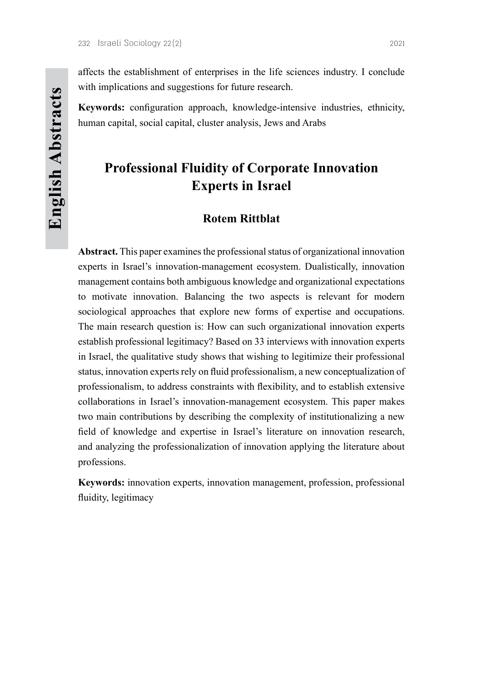affects the establishment of enterprises in the life sciences industry. I conclude with implications and suggestions for future research.

**Keywords:** configuration approach, knowledge-intensive industries, ethnicity, human capital, social capital, cluster analysis, Jews and Arabs

# **Professional Fluidity of Corporate Innovation Experts** in Israel

## **Rittblat Rotem**

Abstract. This paper examines the professional status of organizational innovation experts in Israel's innovation-management ecosystem. Dualistically, innovation management contains both ambiguous knowledge and organizational expectations to motivate innovation. Balancing the two aspects is relevant for modern sociological approaches that explore new forms of expertise and occupations. The main research question is: How can such organizational innovation experts establish professional legitimacy? Based on  $33$  interviews with innovation experts in Israel, the qualitative study shows that wishing to legitimize their professional status, innovation experts rely on fluid professionalism, a new conceptualization of professionalism, to address constraints with flexibility, and to establish extensive collaborations in Israel's innovation-management ecosystem. This paper makes two main contributions by describing the complexity of institutionalizing a new field of knowledge and expertise in Israel's literature on innovation research, and analyzing the professionalization of innovation applying the literature about professions.

Keywords: innovation experts, innovation management, profession, professional fluidity, legitimacy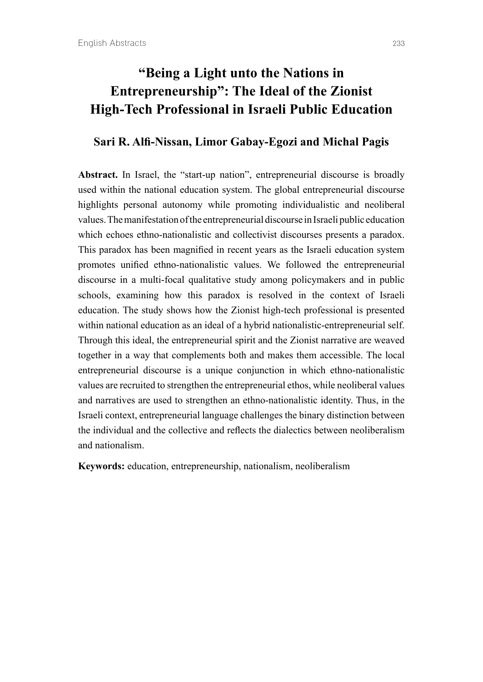# *'Being a Light unto the Nations in* **Entrepreneurship**": The Ideal of the Zionist **High-Tech Professional in Israeli Public Education**

### **Sari R. Alfi-Nissan, Limor Gabay-Egozi and Michal Pagis**

Abstract. In Israel, the "start-up nation", entrepreneurial discourse is broadly used within the national education system. The global entrepreneurial discourse highlights personal autonomy while promoting individualistic and neoliberal values. The manifestation of the entrepreneurial discourse in Israeli public education which echoes ethno-nationalistic and collectivist discourses presents a paradox. This paradox has been magnified in recent years as the Israeli education system promotes unified ethno-nationalistic values. We followed the entrepreneurial discourse in a multi-focal qualitative study among policymakers and in public schools, examining how this paradox is resolved in the context of Israeli education. The study shows how the Zionist high-tech professional is presented within national education as an ideal of a hybrid nationalistic entrepreneurial self. Through this ideal, the entrepreneurial spirit and the Zionist narrative are weaved together in a way that complements both and makes them accessible. The local entrepreneurial discourse is a unique conjunction in which ethno-nationalistic values are recruited to strengthen the entrepreneurial ethos, while neoliberal values and narratives are used to strengthen an ethno-nationalistic identity. Thus, in the Israeli context, entrepreneurial language challenges the binary distinction between the individual and the collective and reflects the dialectics between neoliberalism and nationalism.

Keywords: education, entrepreneurship, nationalism, neoliberalism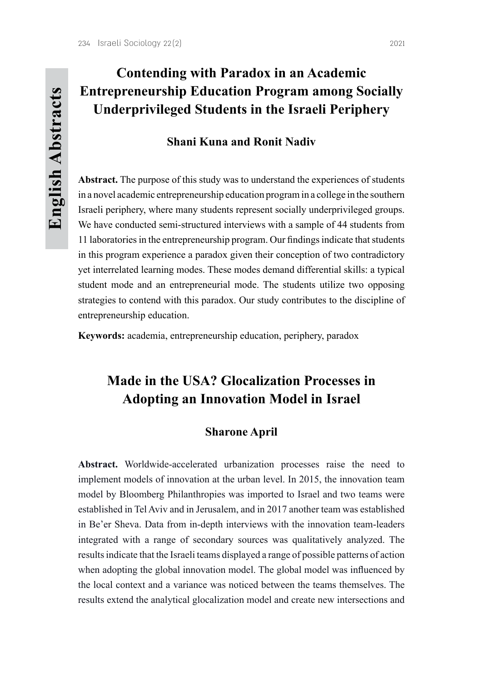# **Contending with Paradox in an Academic Entrepreneurship Education Program among Socially Underprivileged Students in the Israeli Periphery**

## **Shani Kuna and Ronit Nadiv**

Abstract. The purpose of this study was to understand the experiences of students in a novel academic entrepreneurship education program in a college in the southern Israeli periphery, where many students represent socially underprivileged groups. We have conducted semi-structured interviews with a sample of 44 students from 11 laboratories in the entrepreneurship program. Our findings indicate that students in this program experience a paradox given their conception of two contradictory yet interrelated learning modes. These modes demand differential skills: a typical student mode and an entrepreneurial mode. The students utilize two opposing strategies to contend with this paradox. Our study contributes to the discipline of entrepreneurship education.

Keywords: academia, entrepreneurship education, periphery, paradox

# **Made in the USA? Glocalization Processes in Adopting an Innovation Model in Israel**

### **Sharone** April

Abstract. Worldwide-accelerated urbanization processes raise the need to implement models of innovation at the urban level. In 2015, the innovation team model by Bloomberg Philanthropies was imported to Israel and two teams were established in Tel Aviv and in Jerusalem, and in 2017 another team was established in Be'er Sheva. Data from in-depth interviews with the innovation team-leaders integrated with a range of secondary sources was qualitatively analyzed. The results indicate that the Israeli teams displayed a range of possible patterns of action when adopting the global innovation model. The global model was influenced by the local context and a variance was noticed between the teams themselves. The results extend the analytical glocalization model and create new intersections and